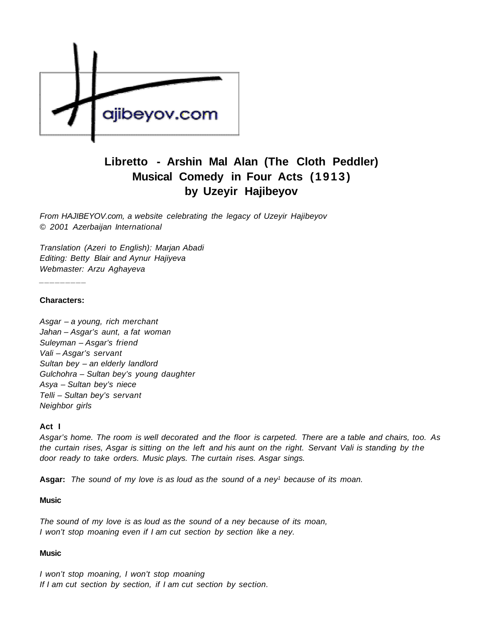

# **Libretto - Arshin Mal Alan (The Cloth Peddler) Musical Comedy in Four Acts (1913) by Uzeyir Hajibeyov**

From HAJIBEYOV.com, a website celebrating the legacy of Uzeyir Hajibeyov © 2001 Azerbaijan International

Translation (Azeri to English): Marjan Abadi Editing: Betty Blair and Aynur Hajiyeva Webmaster: Arzu Aghayeva

#### **Characters:**

\_\_\_\_\_\_\_\_\_

Asgar – a young, rich merchant Jahan – Asgar's aunt, a fat woman Suleyman – Asgar's friend Vali – Asgar's servant Sultan bey – an elderly landlord Gulchohra – Sultan bey's young daughter Asya – Sultan bey's niece Telli – Sultan bey's servant Neighbor girls

#### **Act I**

Asgar's home. The room is well decorated and the floor is carpeted. There are a table and chairs, too. As the curtain rises, Asgar is sitting on the left and his aunt on the right. Servant Vali is standing by the door ready to take orders. Music plays. The curtain rises. Asgar sings.

Asgar: The sound of my love is as loud as the sound of a ney<sup>1</sup> because of its moan.

#### **Music**

The sound of my love is as loud as the sound of a ney because of its moan, I won't stop moaning even if I am cut section by section like a ney.

## **Music**

I won't stop moaning, I won't stop moaning If I am cut section by section, if I am cut section by section.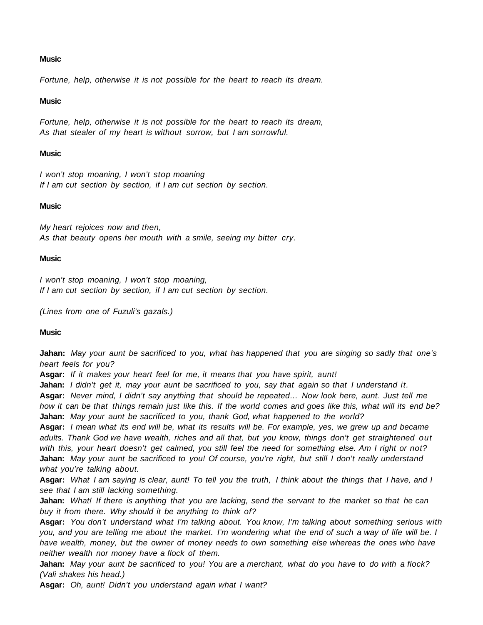## **Music**

Fortune, help, otherwise it is not possible for the heart to reach its dream.

## **Music**

Fortune, help, otherwise it is not possible for the heart to reach its dream, As that stealer of my heart is without sorrow, but I am sorrowful.

## **Music**

I won't stop moaning, I won't stop moaning If I am cut section by section, if I am cut section by section.

## **Music**

My heart rejoices now and then, As that beauty opens her mouth with a smile, seeing my bitter cry.

## **Music**

I won't stop moaning, I won't stop moaning, If I am cut section by section, if I am cut section by section.

(Lines from one of Fuzuli's gazals.)

# **Music**

**Jahan:** May your aunt be sacrificed to you, what has happened that you are singing so sadly that one's heart feels for you?

**Asgar:** If it makes your heart feel for me, it means that you have spirit, aunt!

**Jahan:** I didn't get it, may your aunt be sacrificed to you, say that again so that I understand it.

**Asgar:** Never mind, I didn't say anything that should be repeated… Now look here, aunt. Just tell me how it can be that things remain just like this. If the world comes and goes like this, what will its end be? **Jahan:** May your aunt be sacrificed to you, thank God, what happened to the world?

**Asgar:** I mean what its end will be, what its results will be. For example, yes, we grew up and became adults. Thank God we have wealth, riches and all that, but you know, things don't get straightened out with this, your heart doesn't get calmed, you still feel the need for something else. Am I right or not? **Jahan:** May your aunt be sacrificed to you! Of course, you're right, but still I don't really understand what you're talking about.

**Asgar:** What I am saying is clear, aunt! To tell you the truth, I think about the things that I have, and I see that I am still lacking something.

**Jahan:** What! If there is anything that you are lacking, send the servant to the market so that he can buy it from there. Why should it be anything to think of?

**Asgar:** You don't understand what I'm talking about. You know, I'm talking about something serious with you, and you are telling me about the market. I'm wondering what the end of such a way of life will be. I have wealth, money, but the owner of money needs to own something else whereas the ones who have neither wealth nor money have a flock of them.

**Jahan:** May your aunt be sacrificed to you! You are a merchant, what do you have to do with a flock? (Vali shakes his head.)

**Asgar:** Oh, aunt! Didn't you understand again what I want?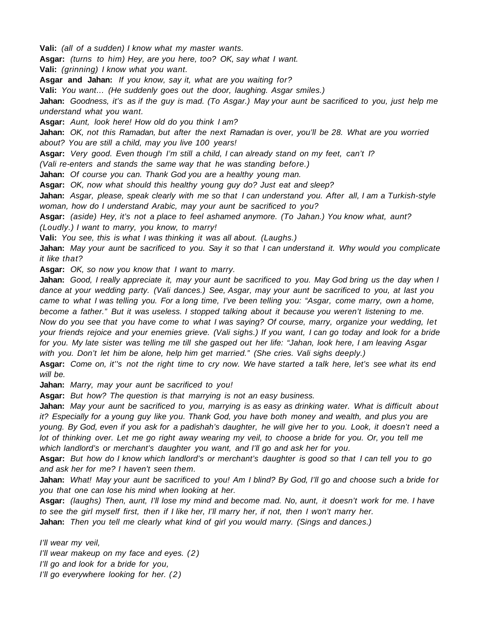**Vali:** (all of a sudden) I know what my master wants.

**Asgar:** (turns to him) Hey, are you here, too? OK, say what I want.

**Vali:** (grinning) I know what you want.

**Asgar and Jahan:** If you know, say it, what are you waiting for?

**Vali:** You want… (He suddenly goes out the door, laughing. Asgar smiles.)

**Jahan:** Goodness, it's as if the guy is mad. (To Asgar.) May your aunt be sacrificed to you, just help me understand what you want.

**Asgar:** Aunt, look here! How old do you think I am?

**Jahan:** OK, not this Ramadan, but after the next Ramadan is over, you'll be 28. What are you worried about? You are still a child, may you live 100 years!

**Asgar:** Very good. Even though I'm still a child, I can already stand on my feet, can't I?

(Vali re-enters and stands the same way that he was standing before.)

**Jahan:** Of course you can. Thank God you are a healthy young man.

**Asgar:** OK, now what should this healthy young guy do? Just eat and sleep?

**Jahan:** Asgar, please, speak clearly with me so that I can understand you. After all, I am a Turkish-style woman, how do I understand Arabic, may your aunt be sacrificed to you?

**Asgar:** (aside) Hey, it's not a place to feel ashamed anymore. (To Jahan.) You know what, aunt? (Loudly.) I want to marry, you know, to marry!

**Vali:** You see, this is what I was thinking it was all about. (Laughs.)

**Jahan:** May your aunt be sacrificed to you. Say it so that I can understand it. Why would you complicate it like that?

**Asgar:** OK, so now you know that I want to marry.

**Jahan:** Good, I really appreciate it, may your aunt be sacrificed to you. May God bring us the day when I dance at your wedding party. (Vali dances.) See, Asgar, may your aunt be sacrificed to you, at last you came to what I was telling you. For a long time, I've been telling you: "Asgar, come marry, own a home, become a father." But it was useless. I stopped talking about it because you weren't listening to me. Now do you see that you have come to what I was saying? Of course, marry, organize your wedding, let your friends rejoice and your enemies grieve. (Vali sighs.) If you want, I can go today and look for a bride for you. My late sister was telling me till she gasped out her life: "Jahan, look here, I am leaving Asgar with you. Don't let him be alone, help him get married." (She cries. Vali sighs deeply.)

**Asgar:** Come on, it''s not the right time to cry now. We have started a talk here, let's see what its end will be.

**Jahan:** Marry, may your aunt be sacrificed to you!

**Asgar:** But how? The question is that marrying is not an easy business.

**Jahan:** May your aunt be sacrificed to you, marrying is as easy as drinking water. What is difficult about it? Especially for a young guy like you. Thank God, you have both money and wealth, and plus you are young. By God, even if you ask for a padishah's daughter, he will give her to you. Look, it doesn't need a lot of thinking over. Let me go right away wearing my veil, to choose a bride for you. Or, you tell me which landlord's or merchant's daughter you want, and I'll go and ask her for you.

**Asgar:** But how do I know which landlord's or merchant's daughter is good so that I can tell you to go and ask her for me? I haven't seen them.

Jahan: What! May your aunt be sacrificed to you! Am I blind? By God, I'll go and choose such a bride for you that one can lose his mind when looking at her.

**Asgar:** (laughs) Then, aunt, I'll lose my mind and become mad. No, aunt, it doesn't work for me. I have to see the girl myself first, then if I like her, I'll marry her, if not, then I won't marry her. **Jahan:** Then you tell me clearly what kind of girl you would marry. (Sings and dances.)

I'll wear my veil, I'll wear makeup on my face and eyes. (2) I'll go and look for a bride for you, I'll go everywhere looking for her. (2)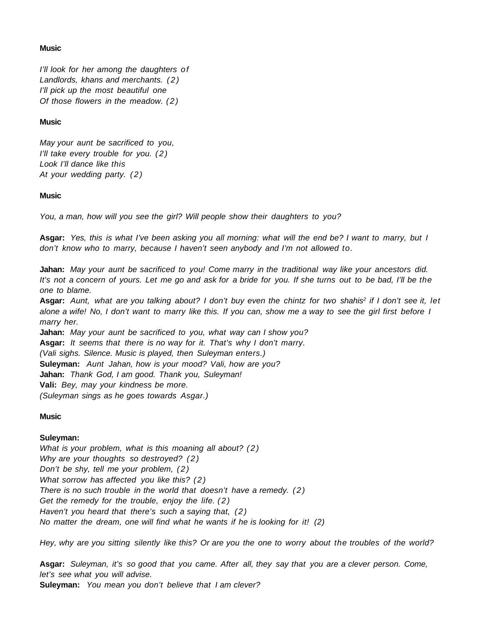# **Music**

I'll look for her among the daughters of Landlords, khans and merchants. (2) I'll pick up the most beautiful one Of those flowers in the meadow. (2)

## **Music**

May your aunt be sacrificed to you, I'll take every trouble for you. (2) Look I'll dance like this At your wedding party. (2)

# **Music**

You, a man, how will you see the girl? Will people show their daughters to you?

**Asgar:** Yes, this is what I've been asking you all morning: what will the end be? I want to marry, but I don't know who to marry, because I haven't seen anybody and I'm not allowed to.

**Jahan:** May your aunt be sacrificed to you! Come marry in the traditional way like your ancestors did. It's not a concern of yours. Let me go and ask for a bride for you. If she turns out to be bad, I'll be the one to blame.

Asgar: Aunt, what are you talking about? I don't buy even the chintz for two shahis<sup>2</sup> if I don't see it, let alone a wife! No, I don't want to marry like this. If you can, show me a way to see the girl first before I marry her.

**Jahan:** May your aunt be sacrificed to you, what way can I show you? **Asgar:** It seems that there is no way for it. That's why I don't marry. (Vali sighs. Silence. Music is played, then Suleyman enters.) **Suleyman:** Aunt Jahan, how is your mood? Vali, how are you? **Jahan:** Thank God, I am good. Thank you, Suleyman! **Vali:** Bey, may your kindness be more. (Suleyman sings as he goes towards Asgar.)

# **Music**

# **Suleyman:**

What is your problem, what is this moaning all about? (2) Why are your thoughts so destroyed? (2) Don't be shy, tell me your problem,  $(2)$ What sorrow has affected you like this? (2) There is no such trouble in the world that doesn't have a remedy.  $(2)$ Get the remedy for the trouble, enjoy the life. (2) Haven't you heard that there's such a saying that,  $(2)$ No matter the dream, one will find what he wants if he is looking for it!  $(2)$ 

Hey, why are you sitting silently like this? Or are you the one to worry about the troubles of the world?

**Asgar:** Suleyman, it's so good that you came. After all, they say that you are a clever person. Come, let's see what you will advise.

**Suleyman:** You mean you don't believe that I am clever?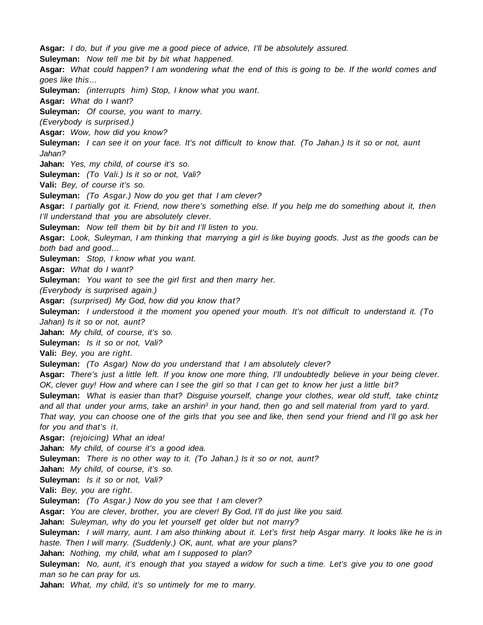**Asgar:** I do, but if you give me a good piece of advice, I'll be absolutely assured. **Suleyman:** Now tell me bit by bit what happened. **Asgar:** What could happen? I am wondering what the end of this is going to be. If the world comes and goes like this… **Suleyman:** (interrupts him) Stop, I know what you want. **Asgar:** What do I want? **Suleyman:** Of course, you want to marry. (Everybody is surprised.) **Asgar:** Wow, how did you know? **Suleyman:** I can see it on your face. It's not difficult to know that. (To Jahan.) Is it so or not, aunt Jahan? Jahan: Yes, my child, of course it's so. **Suleyman:** (To Vali.) Is it so or not, Vali? **Vali:** Bey, of course it's so. **Suleyman:** (To Asgar.) Now do you get that I am clever? **Asgar:** I partially got it. Friend, now there's something else. If you help me do something about it, then I'll understand that you are absolutely clever. **Suleyman:** Now tell them bit by bit and I'll listen to you. **Asgar:** Look, Suleyman, I am thinking that marrying a girl is like buying goods. Just as the goods can be both bad and good… **Suleyman:** Stop, I know what you want. **Asgar:** What do I want? **Suleyman:** You want to see the girl first and then marry her. (Everybody is surprised again.) **Asgar:** (surprised) My God, how did you know that? **Suleyman:** I understood it the moment you opened your mouth. It's not difficult to understand it. (To Jahan) Is it so or not, aunt? **Jahan:** My child, of course, it's so. **Suleyman:** Is it so or not, Vali? **Vali:** Bey, you are right. **Suleyman:** (To Asgar) Now do you understand that I am absolutely clever? **Asgar:** There's just a little left. If you know one more thing, I'll undoubtedly believe in your being clever. OK, clever guy! How and where can I see the girl so that I can get to know her just a little bit? **Suleyman:** What is easier than that? Disguise yourself, change your clothes, wear old stuff, take chintz and all that under your arms, take an arshin<sup>3</sup> in your hand, then go and sell material from yard to yard. That way, you can choose one of the girls that you see and like, then send your friend and I'll go ask her for you and that's it. **Asgar:** (rejoicing) What an idea! **Jahan:** My child, of course it's a good idea. **Suleyman:** There is no other way to it. (To Jahan.) Is it so or not, aunt? **Jahan:** My child, of course, it's so. **Suleyman:** Is it so or not, Vali? **Vali:** Bey, you are right. **Suleyman:** (To Asgar.) Now do you see that I am clever? **Asgar:** You are clever, brother, you are clever! By God, I'll do just like you said. **Jahan:** Suleyman, why do you let yourself get older but not marry? **Suleyman:** I will marry, aunt. I am also thinking about it. Let's first help Asgar marry. It looks like he is in haste. Then I will marry. (Suddenly.) OK, aunt, what are your plans? **Jahan:** Nothing, my child, what am I supposed to plan? **Suleyman:** No, aunt, it's enough that you stayed a widow for such a time. Let's give you to one good man so he can pray for us.

**Jahan:** What, my child, it's so untimely for me to marry.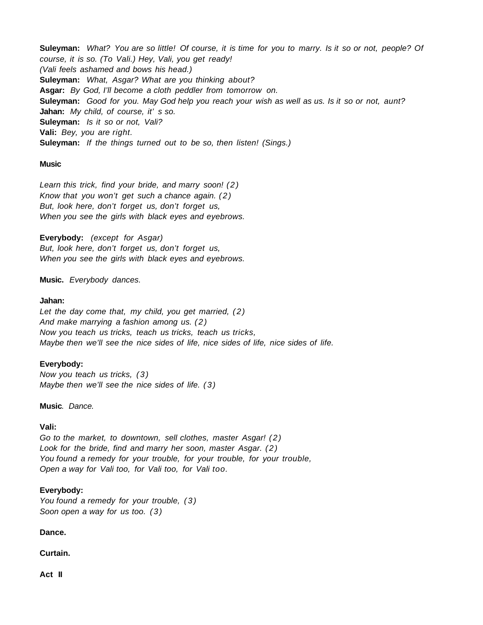**Suleyman:** What? You are so little! Of course, it is time for you to marry. Is it so or not, people? Of course, it is so. (To Vali.) Hey, Vali, you get ready! (Vali feels ashamed and bows his head.) **Suleyman:** What, Asgar? What are you thinking about? **Asgar:** By God, I'll become a cloth peddler from tomorrow on. **Suleyman:** Good for you. May God help you reach your wish as well as us. Is it so or not, aunt? **Jahan:** My child, of course, it' s so. **Suleyman:** Is it so or not, Vali? **Vali:** Bey, you are right. **Suleyman:** If the things turned out to be so, then listen! (Sings.)

#### **Music**

Learn this trick, find your bride, and marry soon! (2) Know that you won't get such a chance again.  $(2)$ But, look here, don't forget us, don't forget us, When you see the girls with black eyes and eyebrows.

**Everybody:** (except for Asgar) But, look here, don't forget us, don't forget us, When you see the girls with black eyes and eyebrows.

## **Music.** Everybody dances.

#### **Jahan:**

Let the day come that, my child, you get married,  $(2)$ And make marrying a fashion among us. (2) Now you teach us tricks, teach us tricks, teach us tricks, Maybe then we'll see the nice sides of life, nice sides of life, nice sides of life.

#### **Everybody:**

Now you teach us tricks, (3) Maybe then we'll see the nice sides of life. (3)

**Music**. Dance.

#### **Vali:**

Go to the market, to downtown, sell clothes, master Asgar! (2) Look for the bride, find and marry her soon, master Asgar. (2) You found a remedy for your trouble, for your trouble, for your trouble, Open a way for Vali too, for Vali too, for Vali too.

## **Everybody:**

You found a remedy for your trouble, (3) Soon open a way for us too. (3)

**Dance.**

**Curtain.**

**Act II**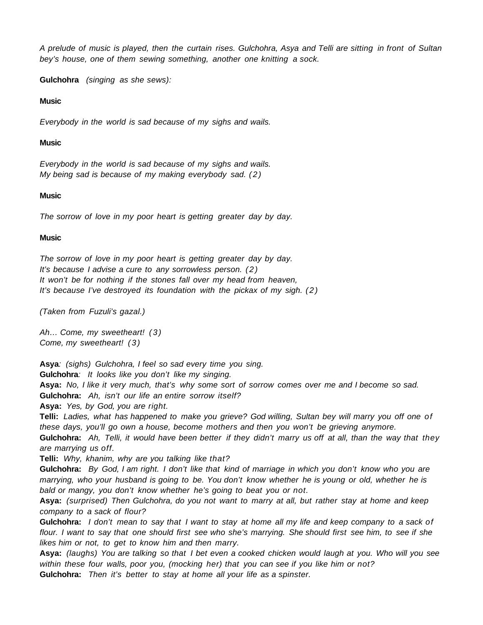A prelude of music is played, then the curtain rises. Gulchohra, Asya and Telli are sitting in front of Sultan bey's house, one of them sewing something, another one knitting a sock.

**Gulchohra** (singing as she sews):

## **Music**

Everybody in the world is sad because of my sighs and wails.

## **Music**

Everybody in the world is sad because of my sighs and wails. My being sad is because of my making everybody sad.  $(2)$ 

## **Music**

The sorrow of love in my poor heart is getting greater day by day.

## **Music**

The sorrow of love in my poor heart is getting greater day by day. It's because I advise a cure to any sorrowless person. (2) It won't be for nothing if the stones fall over my head from heaven, It's because I've destroyed its foundation with the pickax of my sigh. (2)

(Taken from Fuzuli's gazal.)

Ah… Come, my sweetheart! (3) Come, my sweetheart! (3)

**Asya**: (sighs) Gulchohra, I feel so sad every time you sing.

**Gulchohra**: It looks like you don't like my singing.

**Asya:** No, I like it very much, that's why some sort of sorrow comes over me and I become so sad. **Gulchohra:** Ah, isn't our life an entire sorrow itself?

**Asya:** Yes, by God, you are right.

**Telli:** Ladies, what has happened to make you grieve? God willing, Sultan bey will marry you off one of these days, you'll go own a house, become mothers and then you won't be grieving anymore.

**Gulchohra:** Ah, Telli, it would have been better if they didn't marry us off at all, than the way that they are marrying us off.

**Telli:** Why, khanim, why are you talking like that?

**Gulchohra:** By God, I am right. I don't like that kind of marriage in which you don't know who you are marrying, who your husband is going to be. You don't know whether he is young or old, whether he is bald or mangy, you don't know whether he's going to beat you or not.

**Asya:** (surprised) Then Gulchohra, do you not want to marry at all, but rather stay at home and keep company to a sack of flour?

**Gulchohra:** I don't mean to say that I want to stay at home all my life and keep company to a sack of flour. I want to say that one should first see who she's marrying. She should first see him, to see if she likes him or not, to get to know him and then marry.

**Asya:** (laughs) You are talking so that I bet even a cooked chicken would laugh at you. Who will you see within these four walls, poor you, (mocking her) that you can see if you like him or not? **Gulchohra:** Then it's better to stay at home all your life as a spinster.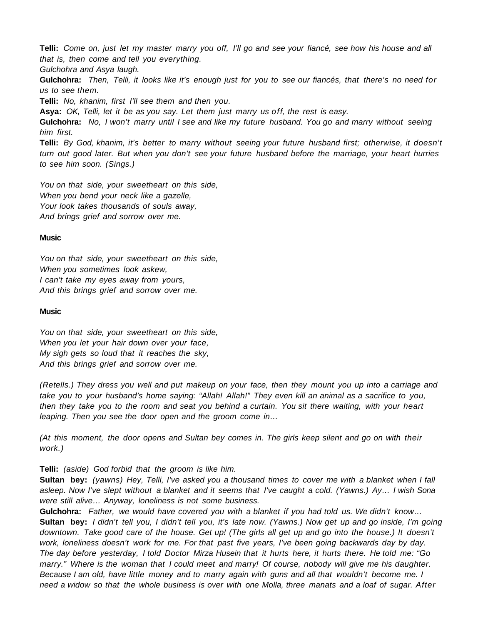**Telli:** Come on, just let my master marry you off, I'll go and see your fiancé, see how his house and all that is, then come and tell you everything.

Gulchohra and Asya laugh.

**Gulchohra:** Then, Telli, it looks like it's enough just for you to see our fiancés, that there's no need for us to see them.

**Telli:** No, khanim, first I'll see them and then you.

**Asya:** OK, Telli, let it be as you say. Let them just marry us off, the rest is easy.

**Gulchohra:** No, I won't marry until I see and like my future husband. You go and marry without seeing him first.

**Telli:** By God, khanim, it's better to marry without seeing your future husband first; otherwise, it doesn't turn out good later. But when you don't see your future husband before the marriage, your heart hurries to see him soon. (Sings.)

You on that side, your sweetheart on this side, When you bend your neck like a gazelle, Your look takes thousands of souls away, And brings grief and sorrow over me.

## **Music**

You on that side, your sweetheart on this side, When you sometimes look askew, I can't take my eyes away from yours, And this brings grief and sorrow over me.

## **Music**

You on that side, your sweetheart on this side, When you let your hair down over your face, My sigh gets so loud that it reaches the sky, And this brings grief and sorrow over me.

(Retells.) They dress you well and put makeup on your face, then they mount you up into a carriage and take you to your husband's home saying: "Allah! Allah!" They even kill an animal as a sacrifice to you, then they take you to the room and seat you behind a curtain. You sit there waiting, with your heart leaping. Then you see the door open and the groom come in…

(At this moment, the door opens and Sultan bey comes in. The girls keep silent and go on with their work.)

**Telli:** (aside) God forbid that the groom is like him.

**Sultan bey:** (yawns) Hey, Telli, I've asked you a thousand times to cover me with a blanket when I fall asleep. Now I've slept without a blanket and it seems that I've caught a cold. (Yawns.) Ay… I wish Sona were still alive… Anyway, loneliness is not some business.

**Gulchohra:** Father, we would have covered you with a blanket if you had told us. We didn't know… **Sultan bey:** I didn't tell you, I didn't tell you, it's late now. (Yawns.) Now get up and go inside, I'm going downtown. Take good care of the house. Get up! (The girls all get up and go into the house.) It doesn't work, loneliness doesn't work for me. For that past five years, I've been going backwards day by day. The day before yesterday, I told Doctor Mirza Husein that it hurts here, it hurts there. He told me: "Go marry." Where is the woman that I could meet and marry! Of course, nobody will give me his daughter. Because I am old, have little money and to marry again with guns and all that wouldn't become me. I need a widow so that the whole business is over with one Molla, three manats and a loaf of sugar. After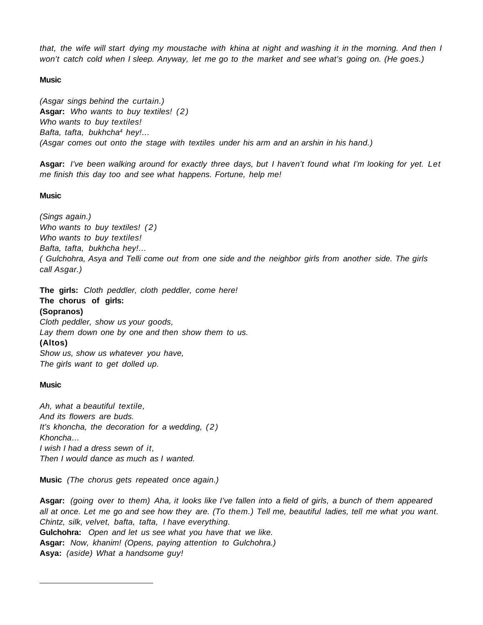that, the wife will start dying my moustache with khina at night and washing it in the morning. And then I won't catch cold when I sleep. Anyway, let me go to the market and see what's going on. (He goes.)

# **Music**

(Asgar sings behind the curtain.) Asgar: Who wants to buy textiles! (2) Who wants to buy textiles! Bafta, tafta, bukhcha<sup>4</sup> hey!... (Asgar comes out onto the stage with textiles under his arm and an arshin in his hand.)

**Asgar:** I've been walking around for exactly three days, but I haven't found what I'm looking for yet. Let me finish this day too and see what happens. Fortune, help me!

# **Music**

(Sings again.) Who wants to buy textiles! (2) Who wants to buy textiles! Bafta, tafta, bukhcha hey!… ( Gulchohra, Asya and Telli come out from one side and the neighbor girls from another side. The girls call Asgar.)

**The girls:** Cloth peddler, cloth peddler, come here!

**The chorus of girls: (Sopranos)** Cloth peddler, show us your goods, Lay them down one by one and then show them to us. **(Altos)** Show us, show us whatever you have, The girls want to get dolled up.

# **Music**

 $\overline{a}$ 

Ah, what a beautiful textile, And its flowers are buds. It's khoncha, the decoration for a wedding,  $(2)$ Khoncha… I wish I had a dress sewn of it, Then I would dance as much as I wanted.

**Music** (The chorus gets repeated once again.)

**Asgar:** (going over to them) Aha, it looks like I've fallen into a field of girls, a bunch of them appeared all at once. Let me go and see how they are. (To them.) Tell me, beautiful ladies, tell me what you want. Chintz, silk, velvet, bafta, tafta, I have everything. **Gulchohra:** Open and let us see what you have that we like. **Asgar:** Now, khanim! (Opens, paying attention to Gulchohra.) **Asya:** (aside) What a handsome guy!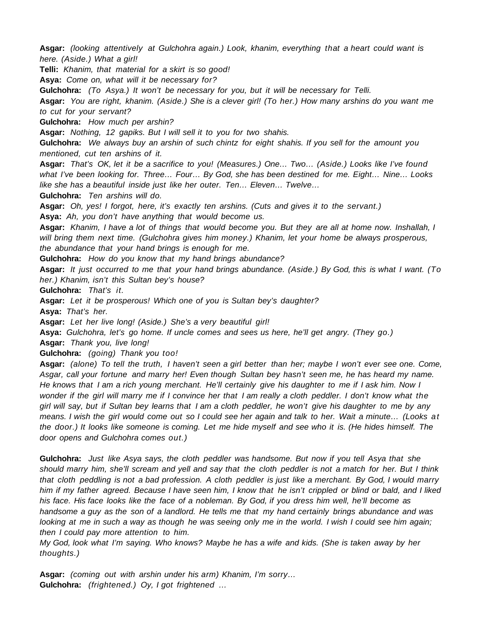**Asgar:** (looking attentively at Gulchohra again.) Look, khanim, everything that a heart could want is here. (Aside.) What a girl!

**Telli:** Khanim, that material for a skirt is so good!

**Asya:** Come on, what will it be necessary for?

**Gulchohra:** (To Asya.) It won't be necessary for you, but it will be necessary for Telli.

**Asgar:** You are right, khanim. (Aside.) She is a clever girl! (To her.) How many arshins do you want me to cut for your servant?

**Gulchohra:** How much per arshin?

**Asgar:** Nothing, 12 gapiks. But I will sell it to you for two shahis.

**Gulchohra:** We always buy an arshin of such chintz for eight shahis. If you sell for the amount you mentioned, cut ten arshins of it.

**Asgar:** That's OK, let it be a sacrifice to you! (Measures.) One… Two… (Aside.) Looks like I've found what I've been looking for. Three… Four… By God, she has been destined for me. Eight… Nine… Looks like she has a beautiful inside just like her outer. Ten… Eleven… Twelve…

**Gulchohra:** Ten arshins will do.

**Asgar:** Oh, yes! I forgot, here, it's exactly ten arshins. (Cuts and gives it to the servant.)

**Asya:** Ah, you don't have anything that would become us.

**Asgar:** Khanim, I have a lot of things that would become you. But they are all at home now. Inshallah, I will bring them next time. (Gulchohra gives him money.) Khanim, let your home be always prosperous, the abundance that your hand brings is enough for me.

**Gulchohra:** How do you know that my hand brings abundance?

**Asgar:** It just occurred to me that your hand brings abundance. (Aside.) By God, this is what I want. (To her.) Khanim, isn't this Sultan bey's house?

**Gulchohra:** That's it.

**Asgar:** Let it be prosperous! Which one of you is Sultan bey's daughter?

**Asya:** That's her.

**Asgar:** Let her live long! (Aside.) She's a very beautiful girl!

**Asya:** Gulchohra, let's go home. If uncle comes and sees us here, he'll get angry. (They go.)

**Asgar:** Thank you, live long!

**Gulchohra:** (going) Thank you too!

**Asgar:** (alone) To tell the truth, I haven't seen a girl better than her; maybe I won't ever see one. Come, Asgar, call your fortune and marry her! Even though Sultan bey hasn't seen me, he has heard my name. He knows that I am a rich young merchant. He'll certainly give his daughter to me if I ask him. Now I wonder if the girl will marry me if I convince her that I am really a cloth peddler. I don't know what the girl will say, but if Sultan bey learns that I am a cloth peddler, he won't give his daughter to me by any means. I wish the girl would come out so I could see her again and talk to her. Wait a minute… (Looks at the door.) It looks like someone is coming. Let me hide myself and see who it is. (He hides himself. The door opens and Gulchohra comes out.)

**Gulchohra:** Just like Asya says, the cloth peddler was handsome. But now if you tell Asya that she should marry him, she'll scream and yell and say that the cloth peddler is not a match for her. But I think that cloth peddling is not a bad profession. A cloth peddler is just like a merchant. By God, I would marry him if my father agreed. Because I have seen him, I know that he isn't crippled or blind or bald, and I liked his face. His face looks like the face of a nobleman. By God, if you dress him well, he'll become as handsome a guy as the son of a landlord. He tells me that my hand certainly brings abundance and was looking at me in such a way as though he was seeing only me in the world. I wish I could see him again; then I could pay more attention to him.

My God, look what I'm saying. Who knows? Maybe he has a wife and kids. (She is taken away by her thoughts.)

**Asgar:** (coming out with arshin under his arm) Khanim, I'm sorry… **Gulchohra:** (frightened.) Oy, I got frightened …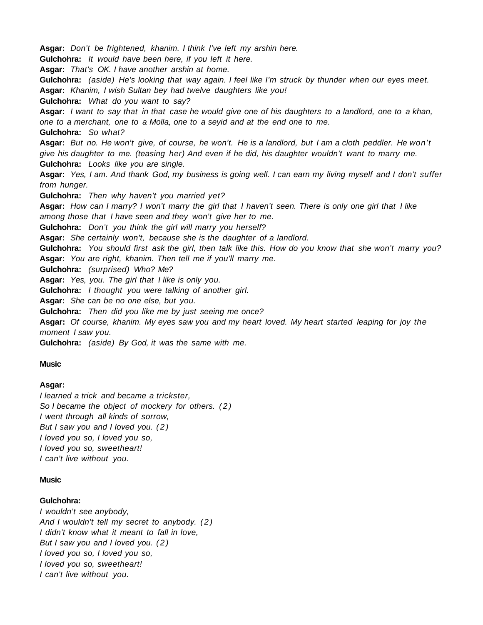**Asgar:** Don't be frightened, khanim. I think I've left my arshin here. **Gulchohra:** It would have been here, if you left it here. **Asgar:** That's OK. I have another arshin at home. **Gulchohra:** (aside) He's looking that way again. I feel like I'm struck by thunder when our eyes meet. **Asgar:** Khanim, I wish Sultan bey had twelve daughters like you! **Gulchohra:** What do you want to say? **Asgar:** I want to say that in that case he would give one of his daughters to a landlord, one to a khan, one to a merchant, one to a Molla, one to a seyid and at the end one to me. **Gulchohra:** So what? **Asgar:** But no. He won't give, of course, he won't. He is a landlord, but I am a cloth peddler. He won't give his daughter to me. (teasing her) And even if he did, his daughter wouldn't want to marry me. **Gulchohra:** Looks like you are single. **Asgar:** Yes, I am. And thank God, my business is going well. I can earn my living myself and I don't suffer from hunger. **Gulchohra:** Then why haven't you married yet? **Asgar:** How can I marry? I won't marry the girl that I haven't seen. There is only one girl that I like among those that I have seen and they won't give her to me. **Gulchohra:** Don't you think the girl will marry you herself? **Asgar:** She certainly won't, because she is the daughter of a landlord. **Gulchohra:** You should first ask the girl, then talk like this. How do you know that she won't marry you? **Asgar:** You are right, khanim. Then tell me if you'll marry me. **Gulchohra:** (surprised) Who? Me? **Asgar:** Yes, you. The girl that I like is only you. **Gulchohra:** I thought you were talking of another girl. **Asgar:** She can be no one else, but you. **Gulchohra:** Then did you like me by just seeing me once? **Asgar:** Of course, khanim. My eyes saw you and my heart loved. My heart started leaping for joy the moment I saw you. **Gulchohra:** (aside) By God, it was the same with me.

# **Music**

#### **Asgar:**

I learned a trick and became a trickster, So I became the object of mockery for others. (2) I went through all kinds of sorrow, But I saw you and I loved you. (2) I loved you so, I loved you so, I loved you so, sweetheart! I can't live without you.

#### **Music**

## **Gulchohra:**

I wouldn't see anybody, And I wouldn't tell my secret to anybody. (2) I didn't know what it meant to fall in love, But I saw you and I loved you.  $(2)$ I loved you so, I loved you so, I loved you so, sweetheart! I can't live without you.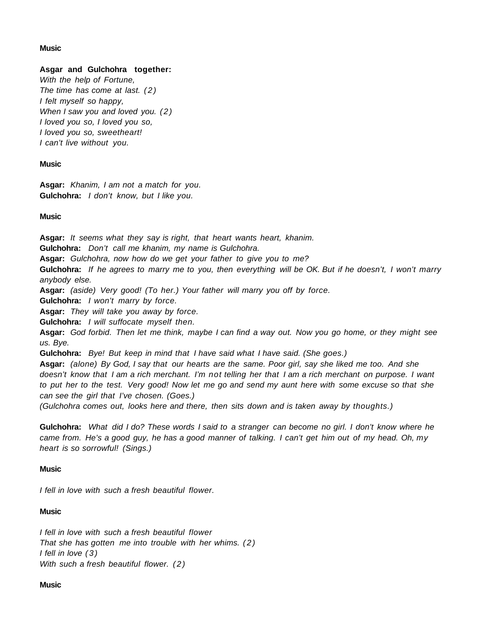## **Music**

# **Asgar and Gulchohra together:**

With the help of Fortune, The time has come at last. (2) I felt myself so happy, When I saw you and loved you.  $(2)$ I loved you so, I loved you so, I loved you so, sweetheart! I can't live without you.

## **Music**

**Asgar:** Khanim, I am not a match for you. **Gulchohra:** I don't know, but I like you.

## **Music**

**Asgar:** It seems what they say is right, that heart wants heart, khanim.

**Gulchohra:** Don't call me khanim, my name is Gulchohra.

**Asgar:** Gulchohra, now how do we get your father to give you to me?

**Gulchohra:** If he agrees to marry me to you, then everything will be OK. But if he doesn't, I won't marry anybody else.

**Asgar:** (aside) Very good! (To her.) Your father will marry you off by force.

**Gulchohra:** I won't marry by force.

**Asgar:** They will take you away by force.

**Gulchohra:** I will suffocate myself then.

**Asgar:** God forbid. Then let me think, maybe I can find a way out. Now you go home, or they might see us. Bye.

**Gulchohra:** Bye! But keep in mind that I have said what I have said. (She goes.)

**Asgar:** (alone) By God, I say that our hearts are the same. Poor girl, say she liked me too. And she doesn't know that I am a rich merchant. I'm not telling her that I am a rich merchant on purpose. I want to put her to the test. Very good! Now let me go and send my aunt here with some excuse so that she can see the girl that I've chosen. (Goes.)

(Gulchohra comes out, looks here and there, then sits down and is taken away by thoughts.)

**Gulchohra:** What did I do? These words I said to a stranger can become no girl. I don't know where he came from. He's a good guy, he has a good manner of talking. I can't get him out of my head. Oh, my heart is so sorrowful! (Sings.)

# **Music**

I fell in love with such a fresh beautiful flower.

# **Music**

I fell in love with such a fresh beautiful flower That she has gotten me into trouble with her whims. (2) I fell in love (3) With such a fresh beautiful flower. (2)

#### **Music**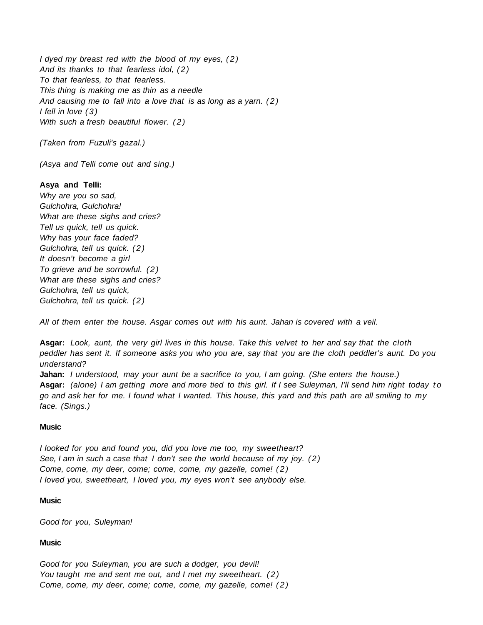I dyed my breast red with the blood of my eyes, (2) And its thanks to that fearless idol, (2) To that fearless, to that fearless. This thing is making me as thin as a needle And causing me to fall into a love that is as long as a yarn. (2) I fell in love (3) With such a fresh beautiful flower. (2)

(Taken from Fuzuli's gazal.)

(Asya and Telli come out and sing.)

## **Asya and Telli:**

Why are you so sad, Gulchohra, Gulchohra! What are these sighs and cries? Tell us quick, tell us quick. Why has your face faded? Gulchohra, tell us quick. (2) It doesn't become a girl To grieve and be sorrowful. (2) What are these sighs and cries? Gulchohra, tell us quick, Gulchohra, tell us quick. (2)

All of them enter the house. Asgar comes out with his aunt. Jahan is covered with a veil.

**Asgar:** Look, aunt, the very girl lives in this house. Take this velvet to her and say that the cloth peddler has sent it. If someone asks you who you are, say that you are the cloth peddler's aunt. Do you understand?

**Jahan:** I understood, may your aunt be a sacrifice to you, I am going. (She enters the house.) **Asgar:** (alone) I am getting more and more tied to this girl. If I see Suleyman, I'll send him right today t o go and ask her for me. I found what I wanted. This house, this yard and this path are all smiling to my face. (Sings.)

#### **Music**

I looked for you and found you, did you love me too, my sweetheart? See, I am in such a case that I don't see the world because of my joy. (2) Come, come, my deer, come; come, come, my gazelle, come! (2) I loved you, sweetheart, I loved you, my eyes won't see anybody else.

#### **Music**

Good for you, Suleyman!

## **Music**

Good for you Suleyman, you are such a dodger, you devil! You taught me and sent me out, and I met my sweetheart. (2) Come, come, my deer, come; come, come, my gazelle, come! (2)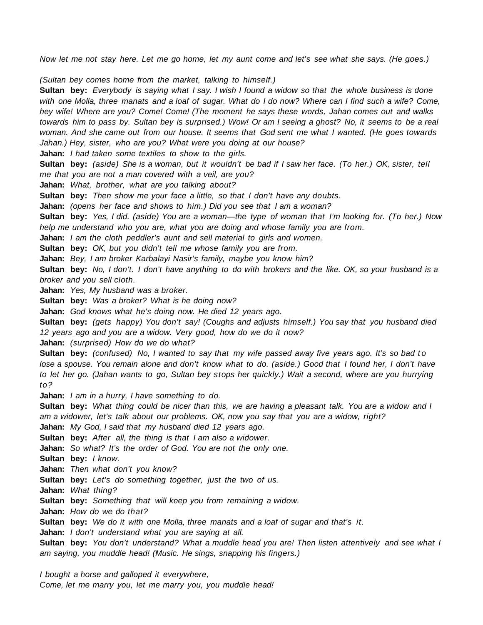Now let me not stay here. Let me go home, let my aunt come and let's see what she says. (He goes.)

(Sultan bey comes home from the market, talking to himself.)

**Sultan bey:** Everybody is saying what I say. I wish I found a widow so that the whole business is done with one Molla, three manats and a loaf of sugar. What do I do now? Where can I find such a wife? Come, hey wife! Where are you? Come! Come! (The moment he says these words, Jahan comes out and walks towards him to pass by. Sultan bey is surprised.) Wow! Or am I seeing a ghost? No, it seems to be a real woman. And she came out from our house. It seems that God sent me what I wanted. (He goes towards Jahan.) Hey, sister, who are you? What were you doing at our house? **Jahan:** I had taken some textiles to show to the girls. **Sultan bey:** (aside) She is a woman, but it wouldn't be bad if I saw her face. (To her.) OK, sister, tell me that you are not a man covered with a veil, are you? **Jahan:** What, brother, what are you talking about? **Sultan bey:** Then show me your face a little, so that I don't have any doubts. **Jahan:** (opens her face and shows to him.) Did you see that I am a woman? **Sultan bey:** Yes, I did. (aside) You are a woman—the type of woman that I'm looking for. (To her.) Now help me understand who you are, what you are doing and whose family you are from. **Jahan:** I am the cloth peddler's aunt and sell material to girls and women. **Sultan bey:** OK, but you didn't tell me whose family you are from. **Jahan:** Bey, I am broker Karbalayi Nasir's family, maybe you know him? **Sultan bey:** No, I don't. I don't have anything to do with brokers and the like. OK, so your husband is a broker and you sell cloth. **Jahan:** Yes, My husband was a broker. **Sultan bey:** Was a broker? What is he doing now? **Jahan:** God knows what he's doing now. He died 12 years ago. **Sultan bey:** (gets happy) You don't say! (Coughs and adjusts himself.) You say that you husband died 12 years ago and you are a widow. Very good, how do we do it now? **Jahan:** (surprised) How do we do what? **Sultan bey:** (confused) No, I wanted to say that my wife passed away five years ago. It's so bad to lose a spouse. You remain alone and don't know what to do. (aside.) Good that I found her, I don't have to let her go. (Jahan wants to go, Sultan bey stops her quickly.) Wait a second, where are you hurrying to? **Jahan:** I am in a hurry, I have something to do. **Sultan bey:** What thing could be nicer than this, we are having a pleasant talk. You are a widow and I am a widower, let's talk about our problems. OK, now you say that you are a widow, right? **Jahan:** My God, I said that my husband died 12 years ago. **Sultan bey:** After all, the thing is that I am also a widower. **Jahan:** So what? It's the order of God. You are not the only one. **Sultan bey:** I know. **Jahan:** Then what don't you know? Sultan bey: Let's do something together, just the two of us. **Jahan:** What thing? **Sultan bey:** Something that will keep you from remaining a widow. **Jahan:** How do we do that? **Sultan bey:** We do it with one Molla, three manats and a loaf of sugar and that's it. **Jahan:** I don't understand what you are saying at all. **Sultan bey:** You don't understand? What a muddle head you are! Then listen attentively and see what I

am saying, you muddle head! (Music. He sings, snapping his fingers.)

I bought a horse and galloped it everywhere, Come, let me marry you, let me marry you, you muddle head!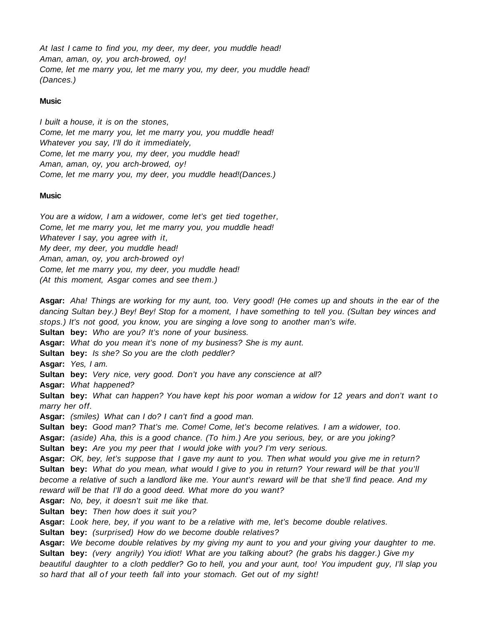At last I came to find you, my deer, my deer, you muddle head! Aman, aman, oy, you arch-browed, oy! Come, let me marry you, let me marry you, my deer, you muddle head! (Dances.)

# **Music**

I built a house, it is on the stones, Come, let me marry you, let me marry you, you muddle head! Whatever you say, I'll do it immediately, Come, let me marry you, my deer, you muddle head! Aman, aman, oy, you arch-browed, oy! Come, let me marry you, my deer, you muddle head!(Dances.)

#### **Music**

You are a widow, I am a widower, come let's get tied together, Come, let me marry you, let me marry you, you muddle head! Whatever I say, you agree with it, My deer, my deer, you muddle head! Aman, aman, oy, you arch-browed oy! Come, let me marry you, my deer, you muddle head! (At this moment, Asgar comes and see them.)

**Asgar:** Aha! Things are working for my aunt, too. Very good! (He comes up and shouts in the ear of the dancing Sultan bey.) Bey! Bey! Stop for a moment, I have something to tell you. (Sultan bey winces and stops.) It's not good, you know, you are singing a love song to another man's wife. **Sultan bey:** Who are you? It's none of your business. **Asgar:** What do you mean it's none of my business? She is my aunt. **Sultan bey:** Is she? So you are the cloth peddler? **Asgar:** Yes, I am. **Sultan bey:** Very nice, very good. Don't you have any conscience at all? **Asgar:** What happened? **Sultan bey:** What can happen? You have kept his poor woman a widow for 12 years and don't want to marry her off. **Asgar:** (smiles) What can I do? I can't find a good man. **Sultan bey:** Good man? That's me. Come! Come, let's become relatives. I am a widower, too. **Asgar:** (aside) Aha, this is a good chance. (To him.) Are you serious, bey, or are you joking? **Sultan bey:** Are you my peer that I would joke with you? I'm very serious. **Asgar:** OK, bey, let's suppose that I gave my aunt to you. Then what would you give me in return? **Sultan bey:** What do you mean, what would I give to you in return? Your reward will be that you'll become a relative of such a landlord like me. Your aunt's reward will be that she'll find peace. And my reward will be that I'll do a good deed. What more do you want? **Asgar:** No, bey, it doesn't suit me like that. **Sultan bey:** Then how does it suit you? **Asgar:** Look here, bey, if you want to be a relative with me, let's become double relatives. **Sultan bey:** (surprised) How do we become double relatives? **Asgar:** We become double relatives by my giving my aunt to you and your giving your daughter to me. **Sultan bey:** (very angrily) You idiot! What are you talking about? (he grabs his dagger.) Give my beautiful daughter to a cloth peddler? Go to hell, you and your aunt, too! You impudent guy, I'll slap you so hard that all of your teeth fall into your stomach. Get out of my sight!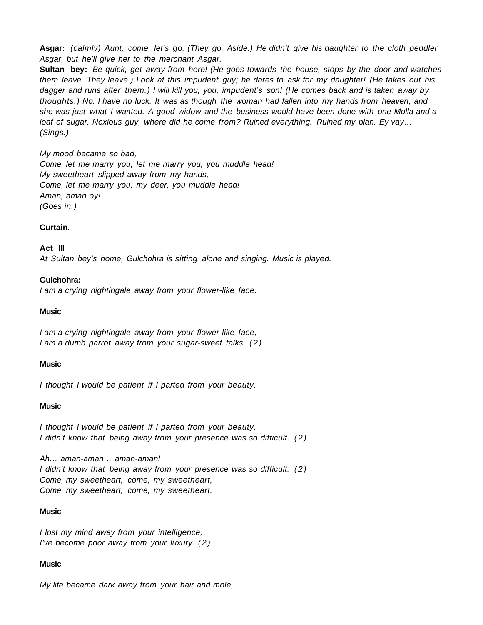**Asgar:** (calmly) Aunt, come, let's go. (They go. Aside.) He didn't give his daughter to the cloth peddler Asgar, but he'll give her to the merchant Asgar.

**Sultan bey:** Be quick, get away from here! (He goes towards the house, stops by the door and watches them leave. They leave.) Look at this impudent guy; he dares to ask for my daughter! (He takes out his dagger and runs after them.) I will kill you, you, impudent's son! (He comes back and is taken away by thoughts.) No. I have no luck. It was as though the woman had fallen into my hands from heaven, and she was just what I wanted. A good widow and the business would have been done with one Molla and a loaf of sugar. Noxious guy, where did he come from? Ruined everything. Ruined my plan. Ey vay… (Sings.)

#### My mood became so bad,

Come, let me marry you, let me marry you, you muddle head! My sweetheart slipped away from my hands, Come, let me marry you, my deer, you muddle head! Aman, aman oy!… (Goes in.)

#### **Curtain.**

**Act III**

At Sultan bey's home, Gulchohra is sitting alone and singing. Music is played.

#### **Gulchohra:**

I am a crying nightingale away from your flower-like face.

#### **Music**

I am a crying nightingale away from your flower-like face, I am a dumb parrot away from your sugar-sweet talks. (2)

#### **Music**

I thought I would be patient if I parted from your beauty.

#### **Music**

I thought I would be patient if I parted from your beauty, I didn't know that being away from your presence was so difficult. (2)

Ah… aman-aman… aman-aman! I didn't know that being away from your presence was so difficult. (2) Come, my sweetheart, come, my sweetheart, Come, my sweetheart, come, my sweetheart.

#### **Music**

I lost my mind away from your intelligence, I've become poor away from your luxury. (2)

#### **Music**

My life became dark away from your hair and mole,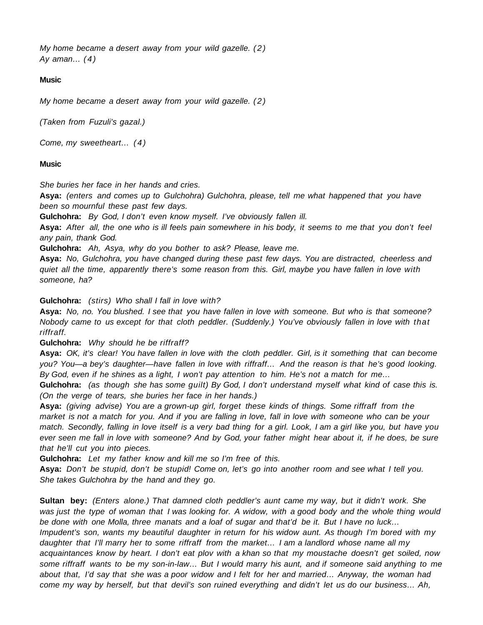My home became a desert away from your wild gazelle. (2) Ay aman... $(4)$ 

# **Music**

My home became a desert away from your wild gazelle. (2)

(Taken from Fuzuli's gazal.)

Come, my sweetheart… (4)

# **Music**

She buries her face in her hands and cries.

**Asya:** (enters and comes up to Gulchohra) Gulchohra, please, tell me what happened that you have been so mournful these past few days.

**Gulchohra:** By God, I don't even know myself. I've obviously fallen ill.

**Asya:** After all, the one who is ill feels pain somewhere in his body, it seems to me that you don't feel any pain, thank God.

**Gulchohra:** Ah, Asya, why do you bother to ask? Please, leave me.

**Asya:** No, Gulchohra, you have changed during these past few days. You are distracted, cheerless and quiet all the time, apparently there's some reason from this. Girl, maybe you have fallen in love with someone, ha?

**Gulchohra:** (stirs) Who shall I fall in love with?

**Asya:** No, no. You blushed. I see that you have fallen in love with someone. But who is that someone? Nobody came to us except for that cloth peddler. (Suddenly.) You've obviously fallen in love with that riffraff.

# **Gulchohra:** Why should he be riffraff?

**Asya:** OK, it's clear! You have fallen in love with the cloth peddler. Girl, is it something that can become you? You—a bey's daughter—have fallen in love with riffraff… And the reason is that he's good looking. By God, even if he shines as a light, I won't pay attention to him. He's not a match for me…

**Gulchohra:** (as though she has some guilt) By God, I don't understand myself what kind of case this is. (On the verge of tears, she buries her face in her hands.)

**Asya:** (giving advise) You are a grown-up girl, forget these kinds of things. Some riffraff from the market is not a match for you. And if you are falling in love, fall in love with someone who can be your match. Secondly, falling in love itself is a very bad thing for a girl. Look, I am a girl like you, but have you ever seen me fall in love with someone? And by God, your father might hear about it, if he does, be sure that he'll cut you into pieces.

**Gulchohra:** Let my father know and kill me so I'm free of this.

**Asya:** Don't be stupid, don't be stupid! Come on, let's go into another room and see what I tell you. She takes Gulchohra by the hand and they go.

**Sultan bey:** (Enters alone.) That damned cloth peddler's aunt came my way, but it didn't work. She was just the type of woman that I was looking for. A widow, with a good body and the whole thing would be done with one Molla, three manats and a loaf of sugar and that'd be it. But I have no luck… Impudent's son, wants my beautiful daughter in return for his widow aunt. As though I'm bored with my daughter that I'll marry her to some riffraff from the market… I am a landlord whose name all my acquaintances know by heart. I don't eat plov with a khan so that my moustache doesn't get soiled, now some riffraff wants to be my son-in-law… But I would marry his aunt, and if someone said anything to me about that, I'd say that she was a poor widow and I felt for her and married… Anyway, the woman had come my way by herself, but that devil's son ruined everything and didn't let us do our business… Ah,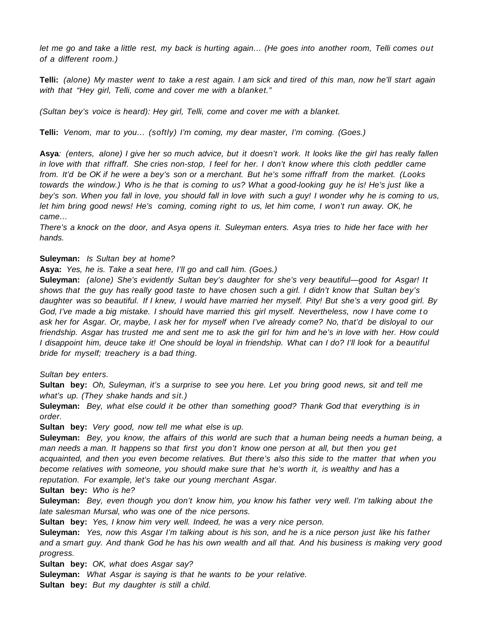let me go and take a little rest, my back is hurting again… (He goes into another room, Telli comes out of a different room.)

**Telli:** (alone) My master went to take a rest again. I am sick and tired of this man, now he'll start again with that "Hey girl, Telli, come and cover me with a blanket."

(Sultan bey's voice is heard): Hey girl, Telli, come and cover me with a blanket.

**Telli:** Venom, mar to you… (softly) I'm coming, my dear master, I'm coming. (Goes.)

**Asya**: (enters, alone) I give her so much advice, but it doesn't work. It looks like the girl has really fallen in love with that riffraff. She cries non-stop, I feel for her. I don't know where this cloth peddler came from. It'd be OK if he were a bey's son or a merchant. But he's some riffraff from the market. (Looks towards the window.) Who is he that is coming to us? What a good-looking guy he is! He's just like a bey's son. When you fall in love, you should fall in love with such a guy! I wonder why he is coming to us, let him bring good news! He's coming, coming right to us, let him come, I won't run away. OK, he came…

There's a knock on the door, and Asya opens it. Suleyman enters. Asya tries to hide her face with her hands.

#### **Suleyman:** Is Sultan bey at home?

**Asya:** Yes, he is. Take a seat here, I'll go and call him. (Goes.)

**Suleyman:** (alone) She's evidently Sultan bey's daughter for she's very beautiful—good for Asgar! It shows that the guy has really good taste to have chosen such a girl. I didn't know that Sultan bey's daughter was so beautiful. If I knew, I would have married her myself. Pity! But she's a very good girl. By God, I've made a big mistake. I should have married this girl myself. Nevertheless, now I have come to ask her for Asgar. Or, maybe, I ask her for myself when I've already come? No, that'd be disloyal to our friendship. Asgar has trusted me and sent me to ask the girl for him and he's in love with her. How could I disappoint him, deuce take it! One should be loyal in friendship. What can I do? I'll look for a beautiful bride for myself; treachery is a bad thing.

Sultan bey enters.

**Sultan bey:** Oh, Suleyman, it's a surprise to see you here. Let you bring good news, sit and tell me what's up. (They shake hands and sit.)

**Suleyman:** Bey, what else could it be other than something good? Thank God that everything is in order.

**Sultan bey:** Very good, now tell me what else is up.

**Suleyman:** Bey, you know, the affairs of this world are such that a human being needs a human being, a man needs a man. It happens so that first you don't know one person at all, but then you get acquainted, and then you even become relatives. But there's also this side to the matter that when you become relatives with someone, you should make sure that he's worth it, is wealthy and has a reputation. For example, let's take our young merchant Asgar.

**Sultan bey:** Who is he?

**Suleyman:** Bey, even though you don't know him, you know his father very well. I'm talking about the late salesman Mursal, who was one of the nice persons.

**Sultan bey:** Yes, I know him very well. Indeed, he was a very nice person.

**Suleyman:** Yes, now this Asgar I'm talking about is his son, and he is a nice person just like his father and a smart guy. And thank God he has his own wealth and all that. And his business is making very good progress.

**Sultan bey:** OK, what does Asgar say?

**Suleyman:** What Asgar is saying is that he wants to be your relative.

**Sultan bey:** But my daughter is still a child.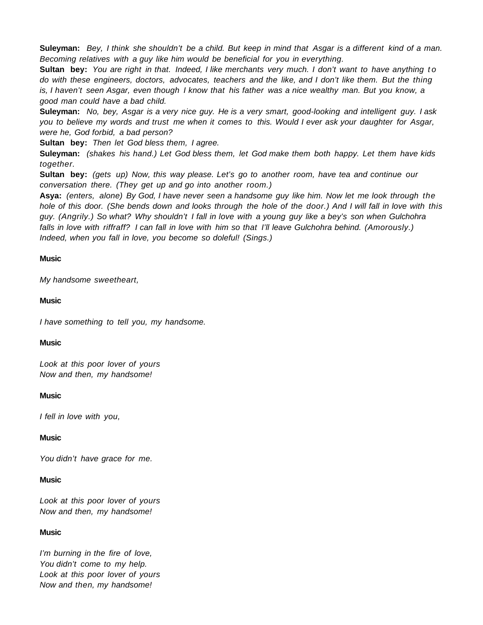**Suleyman:** Bey, I think she shouldn't be a child. But keep in mind that Asgar is a different kind of a man. Becoming relatives with a guy like him would be beneficial for you in everything.

**Sultan bey:** You are right in that. Indeed, I like merchants very much. I don't want to have anything to do with these engineers, doctors, advocates, teachers and the like, and I don't like them. But the thing is, I haven't seen Asgar, even though I know that his father was a nice wealthy man. But you know, a good man could have a bad child.

**Suleyman:** No, bey, Asgar is a very nice guy. He is a very smart, good-looking and intelligent guy. I ask you to believe my words and trust me when it comes to this. Would I ever ask your daughter for Asgar, were he, God forbid, a bad person?

**Sultan bey:** Then let God bless them, I agree.

**Suleyman:** (shakes his hand.) Let God bless them, let God make them both happy. Let them have kids together.

**Sultan bey:** (gets up) Now, this way please. Let's go to another room, have tea and continue our conversation there. (They get up and go into another room.)

**Asya:** (enters, alone) By God, I have never seen a handsome guy like him. Now let me look through the hole of this door. (She bends down and looks through the hole of the door.) And I will fall in love with this guy. (Angrily.) So what? Why shouldn't I fall in love with a young guy like a bey's son when Gulchohra falls in love with riffraff? I can fall in love with him so that I'll leave Gulchohra behind. (Amorously.) Indeed, when you fall in love, you become so doleful! (Sings.)

# **Music**

My handsome sweetheart,

## **Music**

I have something to tell you, my handsome.

# **Music**

Look at this poor lover of yours Now and then, my handsome!

#### **Music**

I fell in love with you,

# **Music**

You didn't have grace for me.

# **Music**

Look at this poor lover of yours Now and then, my handsome!

# **Music**

I'm burning in the fire of love, You didn't come to my help. Look at this poor lover of yours Now and then, my handsome!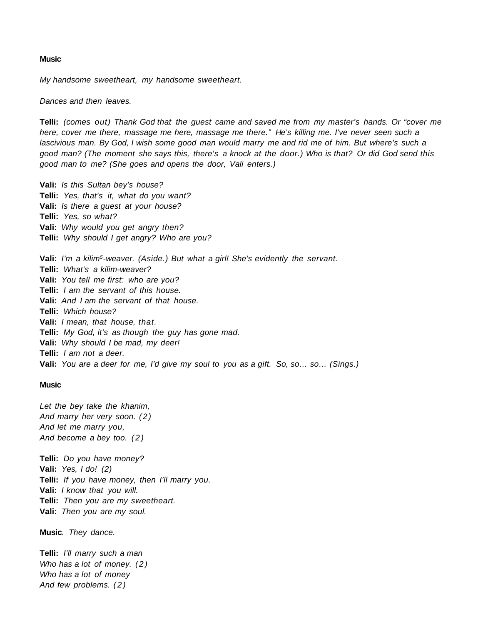#### **Music**

My handsome sweetheart, my handsome sweetheart.

Dances and then leaves.

**Telli:** (comes out) Thank God that the guest came and saved me from my master's hands. Or "cover me here, cover me there, massage me here, massage me there." He's killing me. I've never seen such a lascivious man. By God, I wish some good man would marry me and rid me of him. But where's such a good man? (The moment she says this, there's a knock at the door.) Who is that? Or did God send this good man to me? (She goes and opens the door, Vali enters.)

**Vali:** Is this Sultan bey's house? **Telli:** Yes, that's it, what do you want? **Vali:** Is there a guest at your house? **Telli:** Yes, so what? **Vali:** Why would you get angry then? **Telli:** Why should I get angry? Who are you?

**Vali:** I'm a kilim5-weaver. (Aside.) But what a girl! She's evidently the servant. **Telli:** What's a kilim-weaver? **Vali:** You tell me first: who are you? **Telli:** I am the servant of this house. **Vali:** And I am the servant of that house. **Telli:** Which house? **Vali:** I mean, that house, that. **Telli:** My God, it's as though the guy has gone mad. **Vali:** Why should I be mad, my deer! **Telli:** I am not a deer. **Vali:** You are a deer for me, I'd give my soul to you as a gift. So, so… so… (Sings.)

#### **Music**

Let the bey take the khanim, And marry her very soon. (2) And let me marry you, And become a bey too. (2)

**Telli:** Do you have money? **Vali:** Yes, I do! (2) **Telli:** If you have money, then I'll marry you. **Vali:** I know that you will. **Telli:** Then you are my sweetheart. **Vali:** Then you are my soul.

**Music**. They dance.

**Telli:** I'll marry such a man Who has a lot of money.  $(2)$ Who has a lot of money And few problems. (2)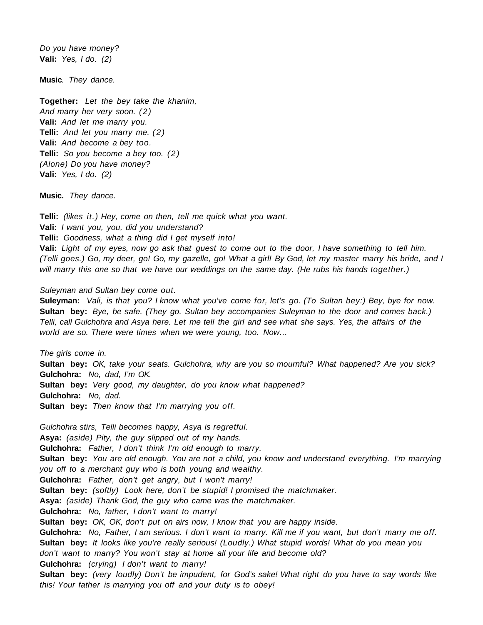Do you have money? **Vali:** Yes, I do. (2)

**Music**. They dance.

**Together:** Let the bey take the khanim, And marry her very soon. (2) **Vali:** And let me marry you. **Telli:** And let you marry me. (2) **Vali:** And become a bey too. **Telli:** So you become a bey too. (2) (Alone) Do you have money? **Vali:** Yes, I do. (2)

**Music.** They dance.

Telli: (likes it.) Hey, come on then, tell me quick what you want. **Vali:** I want you, you, did you understand? **Telli:** Goodness, what a thing did I get myself into! **Vali:** Light of my eyes, now go ask that guest to come out to the door, I have something to tell him. (Telli goes.) Go, my deer, go! Go, my gazelle, go! What a girl! By God, let my master marry his bride, and I will marry this one so that we have our weddings on the same day. (He rubs his hands together.)

#### Suleyman and Sultan bey come out.

**Suleyman:** Vali, is that you? I know what you've come for, let's go. (To Sultan bey:) Bey, bye for now. **Sultan bey:** Bye, be safe. (They go. Sultan bey accompanies Suleyman to the door and comes back.) Telli, call Gulchohra and Asya here. Let me tell the girl and see what she says. Yes, the affairs of the world are so. There were times when we were young, too. Now…

The girls come in. **Sultan bey:** OK, take your seats. Gulchohra, why are you so mournful? What happened? Are you sick? **Gulchohra:** No, dad, I'm OK. **Sultan bey:** Very good, my daughter, do you know what happened? **Gulchohra:** No, dad. **Sultan bey:** Then know that I'm marrying you off.

Gulchohra stirs, Telli becomes happy, Asya is regretful. **Asya:** (aside) Pity, the guy slipped out of my hands. **Gulchohra:** Father, I don't think I'm old enough to marry. **Sultan bey:** You are old enough. You are not a child, you know and understand everything. I'm marrying you off to a merchant guy who is both young and wealthy. **Gulchohra:** Father, don't get angry, but I won't marry! **Sultan bey:** (softly) Look here, don't be stupid! I promised the matchmaker. **Asya:** (aside) Thank God, the guy who came was the matchmaker. **Gulchohra:** No, father, I don't want to marry! **Sultan bey:** OK, OK, don't put on airs now, I know that you are happy inside. **Gulchohra:** No, Father, I am serious. I don't want to marry. Kill me if you want, but don't marry me off. **Sultan bey:** It looks like you're really serious! (Loudly.) What stupid words! What do you mean you don't want to marry? You won't stay at home all your life and become old? **Gulchohra:** (crying) I don't want to marry! **Sultan bey:** (very loudly) Don't be impudent, for God's sake! What right do you have to say words like this! Your father is marrying you off and your duty is to obey!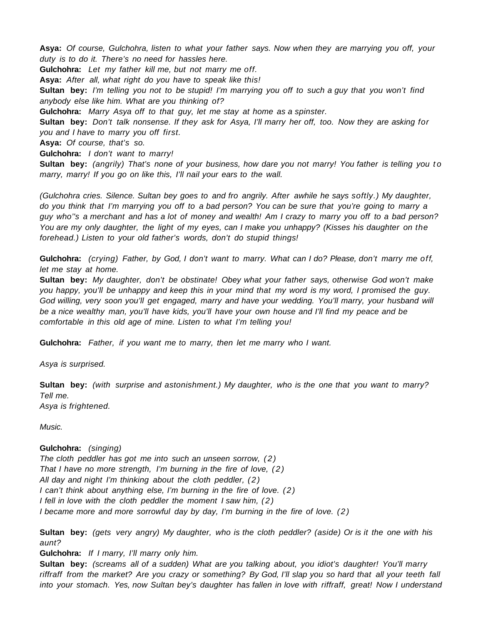**Asya:** Of course, Gulchohra, listen to what your father says. Now when they are marrying you off, your duty is to do it. There's no need for hassles here.

**Gulchohra:** Let my father kill me, but not marry me off.

**Asya:** After all, what right do you have to speak like this!

**Sultan bey:** I'm telling you not to be stupid! I'm marrying you off to such a guy that you won't find anybody else like him. What are you thinking of?

**Gulchohra:** Marry Asya off to that guy, let me stay at home as a spinster.

**Sultan bey:** Don't talk nonsense. If they ask for Asya, I'll marry her off, too. Now they are asking for you and I have to marry you off first.

**Asya:** Of course, that's so.

**Gulchohra:** I don't want to marry!

**Sultan bey:** (angrily) That's none of your business, how dare you not marry! You father is telling you to marry, marry! If you go on like this, I'll nail your ears to the wall.

(Gulchohra cries. Silence. Sultan bey goes to and fro angrily. After awhile he says softly.) My daughter, do you think that I'm marrying you off to a bad person? You can be sure that you're going to marry a guy who''s a merchant and has a lot of money and wealth! Am I crazy to marry you off to a bad person? You are my only daughter, the light of my eyes, can I make you unhappy? (Kisses his daughter on the forehead.) Listen to your old father's words, don't do stupid things!

**Gulchohra:** (crying) Father, by God, I don't want to marry. What can I do? Please, don't marry me off, let me stay at home.

**Sultan bey:** My daughter, don't be obstinate! Obey what your father says, otherwise God won't make you happy, you'll be unhappy and keep this in your mind that my word is my word, I promised the guy. God willing, very soon you'll get engaged, marry and have your wedding. You'll marry, your husband will be a nice wealthy man, you'll have kids, you'll have your own house and I'll find my peace and be comfortable in this old age of mine. Listen to what I'm telling you!

**Gulchohra:** Father, if you want me to marry, then let me marry who I want.

Asya is surprised.

**Sultan bey:** (with surprise and astonishment.) My daughter, who is the one that you want to marry? Tell me. Asya is frightened.

Music.

# **Gulchohra:** (singing)

The cloth peddler has got me into such an unseen sorrow, (2) That I have no more strength, I'm burning in the fire of love, (2) All day and night I'm thinking about the cloth peddler,  $(2)$ I can't think about anything else, I'm burning in the fire of love. (2) I fell in love with the cloth peddler the moment I saw him, (2) I became more and more sorrowful day by day, I'm burning in the fire of love. ( 2 )

**Sultan bey:** (gets very angry) My daughter, who is the cloth peddler? (aside) Or is it the one with his aunt?

**Gulchohra:** If I marry, I'll marry only him.

**Sultan bey:** (screams all of a sudden) What are you talking about, you idiot's daughter! You'll marry riffraff from the market? Are you crazy or something? By God, I'll slap you so hard that all your teeth fall into your stomach. Yes, now Sultan bey's daughter has fallen in love with riffraff, great! Now I understand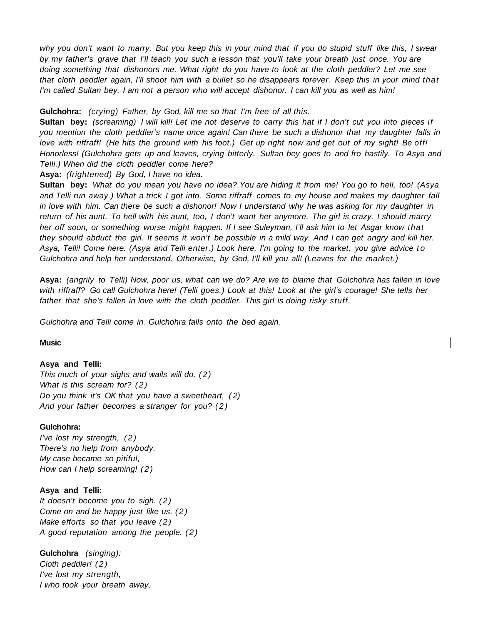why you don't want to marry. But you keep this in your mind that if you do stupid stuff like this, I swear by my father's grave that I'll teach you such a lesson that you'll take your breath just once. You are doing something that dishonors me. What right do you have to look at the cloth peddler? Let me see that cloth peddler again, I'll shoot him with a bullet so he disappears forever. Keep this in your mind that I'm called Sultan bey. I am not a person who will accept dishonor. I can kill you as well as him!

**Gulchohra:** (crying) Father, by God, kill me so that I'm free of all this.

**Sultan bey:** (screaming) I will kill! Let me not deserve to carry this hat if I don't cut you into pieces if you mention the cloth peddler's name once again! Can there be such a dishonor that my daughter falls in love with riffraff! (He hits the ground with his foot.) Get up right now and get out of my sight! Be off! Honorless! (Gulchohra gets up and leaves, crying bitterly. Sultan bey goes to and fro hastily. To Asya and Telli.) When did the cloth peddler come here?

**Asya:** (frightened) By God, I have no idea.

**Sultan bey:** What do you mean you have no idea? You are hiding it from me! You go to hell, too! (Asya and Telli run away.) What a trick I got into. Some riffraff comes to my house and makes my daughter fall in love with him. Can there be such a dishonor! Now I understand why he was asking for my daughter in return of his aunt. To hell with his aunt, too, I don't want her anymore. The girl is crazy. I should marry her off soon, or something worse might happen. If I see Suleyman, I'll ask him to let Asgar know that they should abduct the girl. It seems it won't be possible in a mild way. And I can get angry and kill her. Asya, Telli! Come here. (Asya and Telli enter.) Look here, I'm going to the market, you give advice to Gulchohra and help her understand. Otherwise, by God, I'll kill you all! (Leaves for the market.)

**Asya:** (angrily to Telli) Now, poor us, what can we do? Are we to blame that Gulchohra has fallen in love with riffraff? Go call Gulchohra here! (Telli goes.) Look at this! Look at the girl's courage! She tells her father that she's fallen in love with the cloth peddler. This girl is doing risky stuff.

Gulchohra and Telli come in. Gulchohra falls onto the bed again.

## **Music**

#### **Asya and Telli:**

This much of your sighs and wails will do. (2) What is this scream for?  $(2)$ Do you think it's OK that you have a sweetheart, (2) And your father becomes a stranger for you? (2)

#### **Gulchohra:**

I've lost my strength, (2) There's no help from anybody. My case became so pitiful, How can I help screaming! (2)

# **Asya and Telli:**

It doesn't become you to sigh.  $(2)$ Come on and be happy just like us. (2) Make efforts so that you leave  $(2)$ A good reputation among the people. (2)

**Gulchohra** (singing):

Cloth peddler! (2) I've lost my strength, I who took your breath away,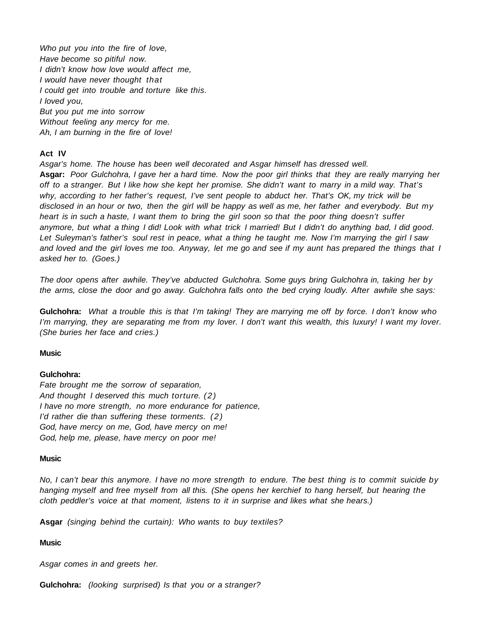Who put you into the fire of love, Have become so pitiful now. I didn't know how love would affect me, I would have never thought that I could get into trouble and torture like this. I loved you, But you put me into sorrow Without feeling any mercy for me. Ah, I am burning in the fire of love!

#### **Act IV**

Asgar's home. The house has been well decorated and Asgar himself has dressed well. **Asgar:** Poor Gulchohra, I gave her a hard time. Now the poor girl thinks that they are really marrying her off to a stranger. But I like how she kept her promise. She didn't want to marry in a mild way. That's why, according to her father's request, I've sent people to abduct her. That's OK, my trick will be disclosed in an hour or two, then the girl will be happy as well as me, her father and everybody. But my heart is in such a haste, I want them to bring the girl soon so that the poor thing doesn't suffer anymore, but what a thing I did! Look with what trick I married! But I didn't do anything bad, I did good. Let Suleyman's father's soul rest in peace, what a thing he taught me. Now I'm marrying the girl I saw and loved and the girl loves me too. Anyway, let me go and see if my aunt has prepared the things that I asked her to. (Goes.)

The door opens after awhile. They've abducted Gulchohra. Some guys bring Gulchohra in, taking her by the arms, close the door and go away. Gulchohra falls onto the bed crying loudly. After awhile she says:

**Gulchohra:** What a trouble this is that I'm taking! They are marrying me off by force. I don't know who I'm marrying, they are separating me from my lover. I don't want this wealth, this luxury! I want my lover. (She buries her face and cries.)

#### **Music**

# **Gulchohra:**

Fate brought me the sorrow of separation, And thought I deserved this much torture. (2) I have no more strength, no more endurance for patience, I'd rather die than suffering these torments. (2) God, have mercy on me, God, have mercy on me! God, help me, please, have mercy on poor me!

#### **Music**

No, I can't bear this anymore. I have no more strength to endure. The best thing is to commit suicide by hanging myself and free myself from all this. (She opens her kerchief to hang herself, but hearing the cloth peddler's voice at that moment, listens to it in surprise and likes what she hears.)

**Asgar** (singing behind the curtain): Who wants to buy textiles?

#### **Music**

Asgar comes in and greets her.

**Gulchohra:** (looking surprised) Is that you or a stranger?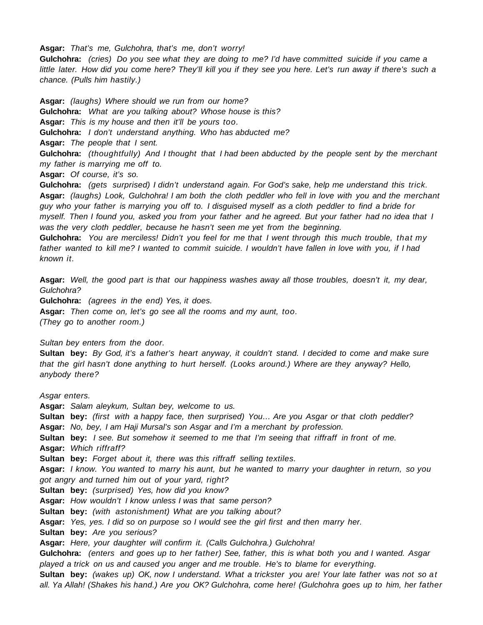**Asgar:** That's me, Gulchohra, that's me, don't worry!

**Gulchohra:** (cries) Do you see what they are doing to me? I'd have committed suicide if you came a little later. How did you come here? They'll kill you if they see you here. Let's run away if there's such a chance. (Pulls him hastily.)

**Asgar:** (laughs) Where should we run from our home? **Gulchohra:** What are you talking about? Whose house is this? **Asgar:** This is my house and then it'll be yours too. **Gulchohra:** I don't understand anything. Who has abducted me? **Asgar:** The people that I sent. **Gulchohra:** (thoughtfully) And I thought that I had been abducted by the people sent by the merchant

my father is marrying me off to.

**Asgar:** Of course, it's so.

**Gulchohra:** (gets surprised) I didn't understand again. For God's sake, help me understand this trick. **Asgar:** (laughs) Look, Gulchohra! I am both the cloth peddler who fell in love with you and the merchant guy who your father is marrying you off to. I disguised myself as a cloth peddler to find a bride for myself. Then I found you, asked you from your father and he agreed. But your father had no idea that I was the very cloth peddler, because he hasn't seen me yet from the beginning.

**Gulchohra:** You are merciless! Didn't you feel for me that I went through this much trouble, that my father wanted to kill me? I wanted to commit suicide. I wouldn't have fallen in love with you, if I had known it.

**Asgar:** Well, the good part is that our happiness washes away all those troubles, doesn't it, my dear, Gulchohra?

**Gulchohra:** (agrees in the end) Yes, it does.

**Asgar:** Then come on, let's go see all the rooms and my aunt, too. (They go to another room.)

Sultan bey enters from the door.

**Sultan bey:** By God, it's a father's heart anyway, it couldn't stand. I decided to come and make sure that the girl hasn't done anything to hurt herself. (Looks around.) Where are they anyway? Hello, anybody there?

Asgar enters.

**Asgar:** Salam aleykum, Sultan bey, welcome to us.

**Sultan bey:** (first with a happy face, then surprised) You… Are you Asgar or that cloth peddler?

**Asgar:** No, bey, I am Haji Mursal's son Asgar and I'm a merchant by profession.

**Sultan bey:** I see. But somehow it seemed to me that I'm seeing that riffraff in front of me. **Asgar:** Which riffraff?

**Sultan bey:** Forget about it, there was this riffraff selling textiles.

**Asgar:** I know. You wanted to marry his aunt, but he wanted to marry your daughter in return, so you got angry and turned him out of your yard, right?

**Sultan bey:** (surprised) Yes, how did you know?

**Asgar:** How wouldn't I know unless I was that same person?

**Sultan bey:** (with astonishment) What are you talking about?

**Asgar:** Yes, yes. I did so on purpose so I would see the girl first and then marry her.

**Sultan bey:** Are you serious?

**Asgar:** Here, your daughter will confirm it. (Calls Gulchohra.) Gulchohra!

**Gulchohra:** (enters and goes up to her father) See, father, this is what both you and I wanted. Asgar played a trick on us and caused you anger and me trouble. He's to blame for everything.

**Sultan bey:** (wakes up) OK, now I understand. What a trickster you are! Your late father was not so at all. Ya Allah! (Shakes his hand.) Are you OK? Gulchohra, come here! (Gulchohra goes up to him, her father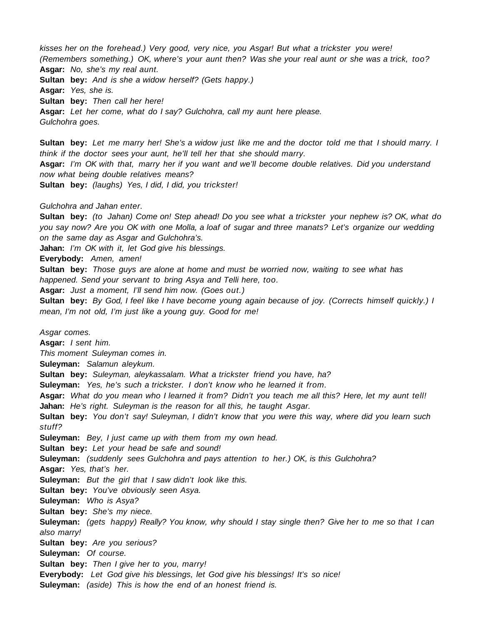kisses her on the forehead.) Very good, very nice, you Asgar! But what a trickster you were! (Remembers something.) OK, where's your aunt then? Was she your real aunt or she was a trick, too? **Asgar:** No, she's my real aunt. **Sultan bey:** And is she a widow herself? (Gets happy.) **Asgar:** Yes, she is. **Sultan bey:** Then call her here! **Asgar:** Let her come, what do I say? Gulchohra, call my aunt here please. Gulchohra goes.

**Sultan bey:** Let me marry her! She's a widow just like me and the doctor told me that I should marry. I think if the doctor sees your aunt, he'll tell her that she should marry. **Asgar:** I'm OK with that, marry her if you want and we'll become double relatives. Did you understand now what being double relatives means? **Sultan bey:** (laughs) Yes, I did, I did, you trickster!

## Gulchohra and Jahan enter.

**Sultan bey:** (to Jahan) Come on! Step ahead! Do you see what a trickster your nephew is? OK, what do you say now? Are you OK with one Molla, a loaf of sugar and three manats? Let's organize our wedding on the same day as Asgar and Gulchohra's.

**Jahan:** I'm OK with it, let God give his blessings.

**Everybody:** Amen, amen!

**Sultan bey:** Those guys are alone at home and must be worried now, waiting to see what has happened. Send your servant to bring Asya and Telli here, too.

**Asgar:** Just a moment, I'll send him now. (Goes out.)

**Sultan bey:** By God, I feel like I have become young again because of joy. (Corrects himself quickly.) I mean, I'm not old, I'm just like a young guy. Good for me!

Asgar comes.

**Asgar:** I sent him.

This moment Suleyman comes in.

**Suleyman:** Salamun aleykum.

**Sultan bey:** Suleyman, aleykassalam. What a trickster friend you have, ha?

**Suleyman:** Yes, he's such a trickster. I don't know who he learned it from.

**Asgar:** What do you mean who I learned it from? Didn't you teach me all this? Here, let my aunt tell! **Jahan:** He's right. Suleyman is the reason for all this, he taught Asgar.

**Sultan bey:** You don't say! Suleyman, I didn't know that you were this way, where did you learn such stuff?

**Suleyman:** Bey, I just came up with them from my own head.

**Sultan bey:** Let your head be safe and sound!

**Suleyman:** (suddenly sees Gulchohra and pays attention to her.) OK, is this Gulchohra?

**Asgar:** Yes, that's her.

**Suleyman:** But the girl that I saw didn't look like this.

**Sultan bey:** You've obviously seen Asya.

**Suleyman:** Who is Asya?

**Sultan bey:** She's my niece.

**Suleyman:** (gets happy) Really? You know, why should I stay single then? Give her to me so that I can also marry!

**Sultan bey:** Are you serious?

**Suleyman:** Of course.

**Sultan bey:** Then I give her to you, marry!

**Everybody:** Let God give his blessings, let God give his blessings! It's so nice!

**Suleyman:** (aside) This is how the end of an honest friend is.